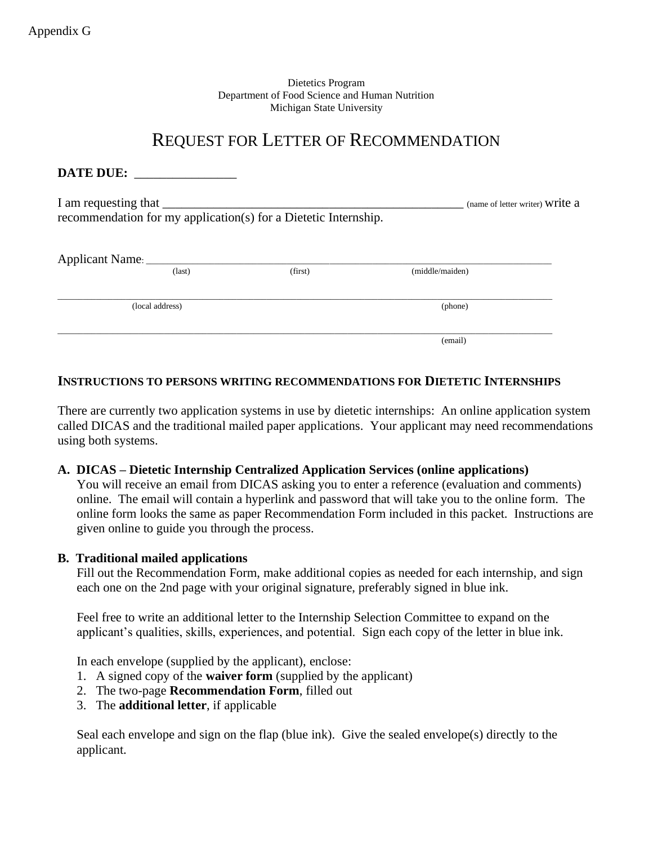Dietetics Program Department of Food Science and Human Nutrition Michigan State University

# REQUEST FOR LETTER OF RECOMMENDATION

| DATE DUE:                                                       |                                 |         |                 |  |  |
|-----------------------------------------------------------------|---------------------------------|---------|-----------------|--|--|
| recommendation for my application(s) for a Dietetic Internship. | (name of letter writer) Write a |         |                 |  |  |
|                                                                 | $\text{(last)}$                 | (first) | (middle/maiden) |  |  |
| (local address)                                                 |                                 |         | (phone)         |  |  |
|                                                                 |                                 |         | (email)         |  |  |

### **INSTRUCTIONS TO PERSONS WRITING RECOMMENDATIONS FOR DIETETIC INTERNSHIPS**

There are currently two application systems in use by dietetic internships: An online application system called DICAS and the traditional mailed paper applications. Your applicant may need recommendations using both systems.

#### **A. DICAS – Dietetic Internship Centralized Application Services (online applications)**

You will receive an email from DICAS asking you to enter a reference (evaluation and comments) online. The email will contain a hyperlink and password that will take you to the online form. The online form looks the same as paper Recommendation Form included in this packet. Instructions are given online to guide you through the process.

#### **B. Traditional mailed applications**

Fill out the Recommendation Form, make additional copies as needed for each internship, and sign each one on the 2nd page with your original signature, preferably signed in blue ink.

Feel free to write an additional letter to the Internship Selection Committee to expand on the applicant's qualities, skills, experiences, and potential. Sign each copy of the letter in blue ink.

In each envelope (supplied by the applicant), enclose:

- 1. A signed copy of the **waiver form** (supplied by the applicant)
- 2. The two-page **Recommendation Form**, filled out
- 3. The **additional letter**, if applicable

Seal each envelope and sign on the flap (blue ink). Give the sealed envelope(s) directly to the applicant.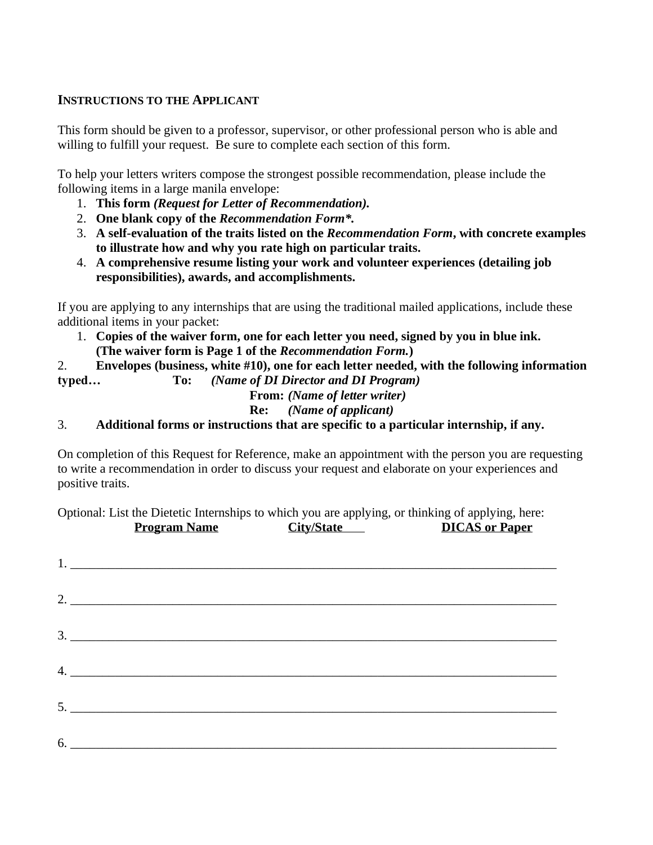## **INSTRUCTIONS TO THE APPLICANT**

This form should be given to a professor, supervisor, or other professional person who is able and willing to fulfill your request. Be sure to complete each section of this form.

To help your letters writers compose the strongest possible recommendation, please include the following items in a large manila envelope:

- 1. **This form** *(Request for Letter of Recommendation).*
- 2. **One blank copy of the** *Recommendation Form\*.*
- 3. **A self-evaluation of the traits listed on the** *Recommendation Form***, with concrete examples to illustrate how and why you rate high on particular traits.**
- 4. **A comprehensive resume listing your work and volunteer experiences (detailing job responsibilities), awards, and accomplishments.**

If you are applying to any internships that are using the traditional mailed applications, include these additional items in your packet:

1. **Copies of the waiver form, one for each letter you need, signed by you in blue ink. (The waiver form is Page 1 of the** *Recommendation Form.***)**

2. **Envelopes (business, white #10), one for each letter needed, with the following information** 

**typed… To:** *(Name of DI Director and DI Program)*

**From:** *(Name of letter writer)*

**Re:** *(Name of applicant)*

3. **Additional forms or instructions that are specific to a particular internship, if any.**

On completion of this Request for Reference, make an appointment with the person you are requesting to write a recommendation in order to discuss your request and elaborate on your experiences and positive traits.

Optional: List the Dietetic Internships to which you are applying, or thinking of applying, here: **Program Name City/State DICAS or Paper**

| $1.$ $\overline{\phantom{a}}$ $\overline{\phantom{a}}$ $\overline{\phantom{a}}$ $\overline{\phantom{a}}$ $\overline{\phantom{a}}$ $\overline{\phantom{a}}$ $\overline{\phantom{a}}$ $\overline{\phantom{a}}$ $\overline{\phantom{a}}$ $\overline{\phantom{a}}$ $\overline{\phantom{a}}$ $\overline{\phantom{a}}$ $\overline{\phantom{a}}$ $\overline{\phantom{a}}$ $\overline{\phantom{a}}$ $\overline{\phantom{a}}$ $\overline{\phantom{a}}$ $\overline{\phantom{a}}$ |  |  |
|------------------------------------------------------------------------------------------------------------------------------------------------------------------------------------------------------------------------------------------------------------------------------------------------------------------------------------------------------------------------------------------------------------------------------------------------------------------------|--|--|
|                                                                                                                                                                                                                                                                                                                                                                                                                                                                        |  |  |
|                                                                                                                                                                                                                                                                                                                                                                                                                                                                        |  |  |
| 4.                                                                                                                                                                                                                                                                                                                                                                                                                                                                     |  |  |
| 5.                                                                                                                                                                                                                                                                                                                                                                                                                                                                     |  |  |
|                                                                                                                                                                                                                                                                                                                                                                                                                                                                        |  |  |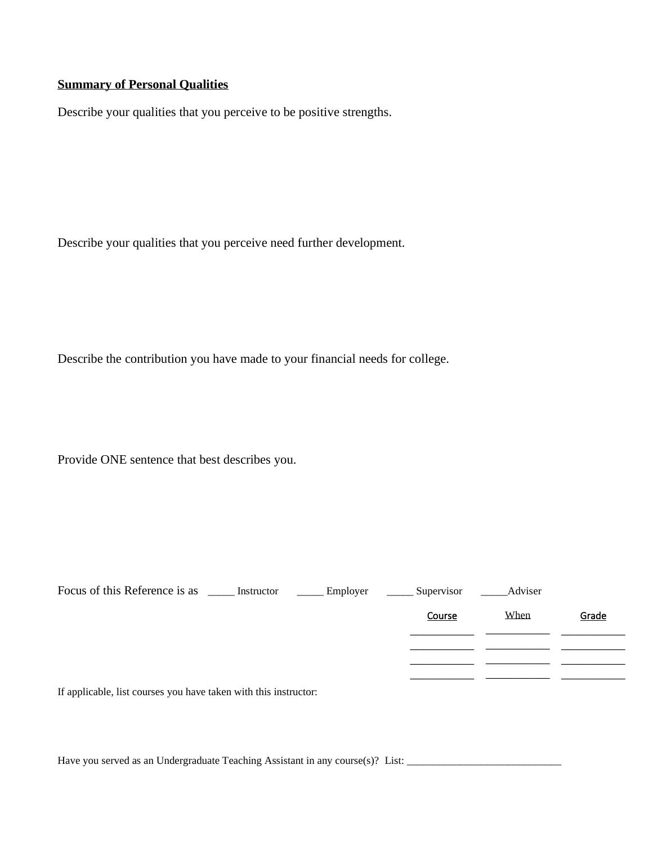# **Summary of Personal Qualities**

Describe your qualities that you perceive to be positive strengths.

Describe your qualities that you perceive need further development.

Describe the contribution you have made to your financial needs for college.

Provide ONE sentence that best describes you.

| Focus of this Reference is as ______ Instructor                  | $\frac{1}{2}$ Employer | Supervisor | Adviser |       |
|------------------------------------------------------------------|------------------------|------------|---------|-------|
|                                                                  |                        | Course     | When    | Grade |
|                                                                  |                        |            |         |       |
|                                                                  |                        |            |         |       |
|                                                                  |                        |            |         |       |
| If applicable, list courses you have taken with this instructor: |                        |            |         |       |

Have you served as an Undergraduate Teaching Assistant in any course(s)? List: \_\_\_\_\_\_\_\_\_\_\_\_\_\_\_\_\_\_\_\_\_\_\_\_\_\_\_\_\_\_\_\_